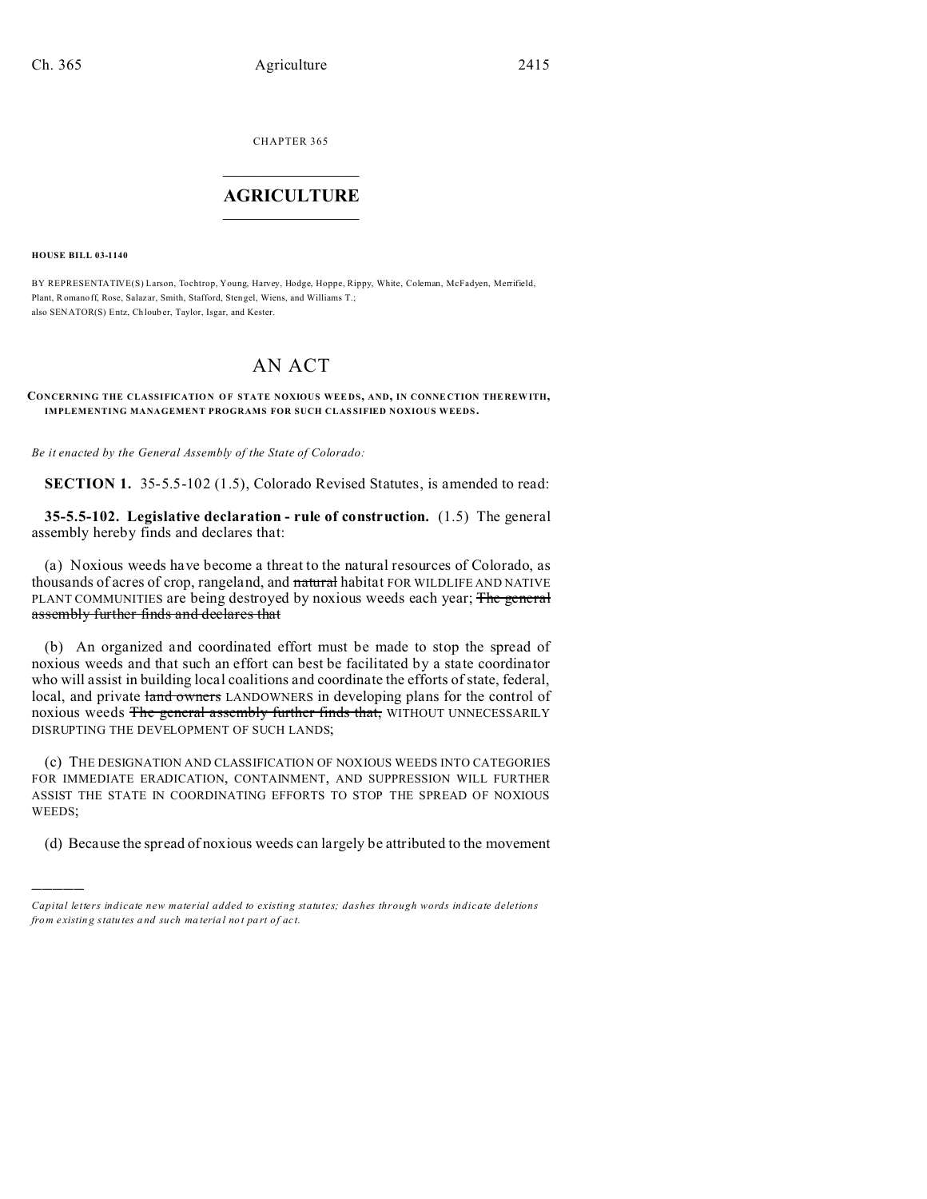CHAPTER 365  $\overline{\phantom{a}}$  , where  $\overline{\phantom{a}}$ 

## **AGRICULTURE**  $\_$   $\_$   $\_$   $\_$   $\_$   $\_$   $\_$   $\_$

**HOUSE BILL 03-1140**

)))))

BY REPRESENTATIVE(S) Larson, Tochtrop, Young, Harvey, Hodge, Hoppe, Rippy, White, Coleman, McFadyen, Merrifield, Plant, Romanoff, Rose, Salaz ar, Smith, Stafford, Stengel, Wiens, and Williams T.; also SENATOR(S) Entz, Ch loub er, Taylor, Isgar, and Kester.

# AN ACT

**CONCERNING THE CLASSIFICATION OF STATE NOXIOUS WEE DS, AND, IN CONNE CTION THE REW ITH, IMPLEMENTING MANAGEMENT PROGRAMS FOR SUCH CLAS SIFIED NOXIOUS WEEDS.**

*Be it enacted by the General Assembly of the State of Colorado:*

**SECTION 1.** 35-5.5-102 (1.5), Colorado Revised Statutes, is amended to read:

**35-5.5-102. Legislative declaration - rule of construction.** (1.5) The general assembly hereby finds and declares that:

(a) Noxious weeds have become a threat to the natural resources of Colorado, as thousands of acres of crop, rangeland, and natural habitat FOR WILDLIFE AND NATIVE PLANT COMMUNITIES are being destroyed by noxious weeds each year; The general assembly further finds and declares that

(b) An organized and coordinated effort must be made to stop the spread of noxious weeds and that such an effort can best be facilitated by a state coordinator who will assist in building local coalitions and coordinate the efforts of state, federal, local, and private land owners LANDOWNERS in developing plans for the control of noxious weeds The general assembly further finds that, WITHOUT UNNECESSARILY DISRUPTING THE DEVELOPMENT OF SUCH LANDS;

(c) THE DESIGNATION AND CLASSIFICATION OF NOXIOUS WEEDS INTO CATEGORIES FOR IMMEDIATE ERADICATION, CONTAINMENT, AND SUPPRESSION WILL FURTHER ASSIST THE STATE IN COORDINATING EFFORTS TO STOP THE SPREAD OF NOXIOUS WEEDS;

(d) Because the spread of noxious weeds can largely be attributed to the movement

*Capital letters indicate new material added to existing statutes; dashes through words indicate deletions from e xistin g statu tes a nd such ma teria l no t pa rt of ac t.*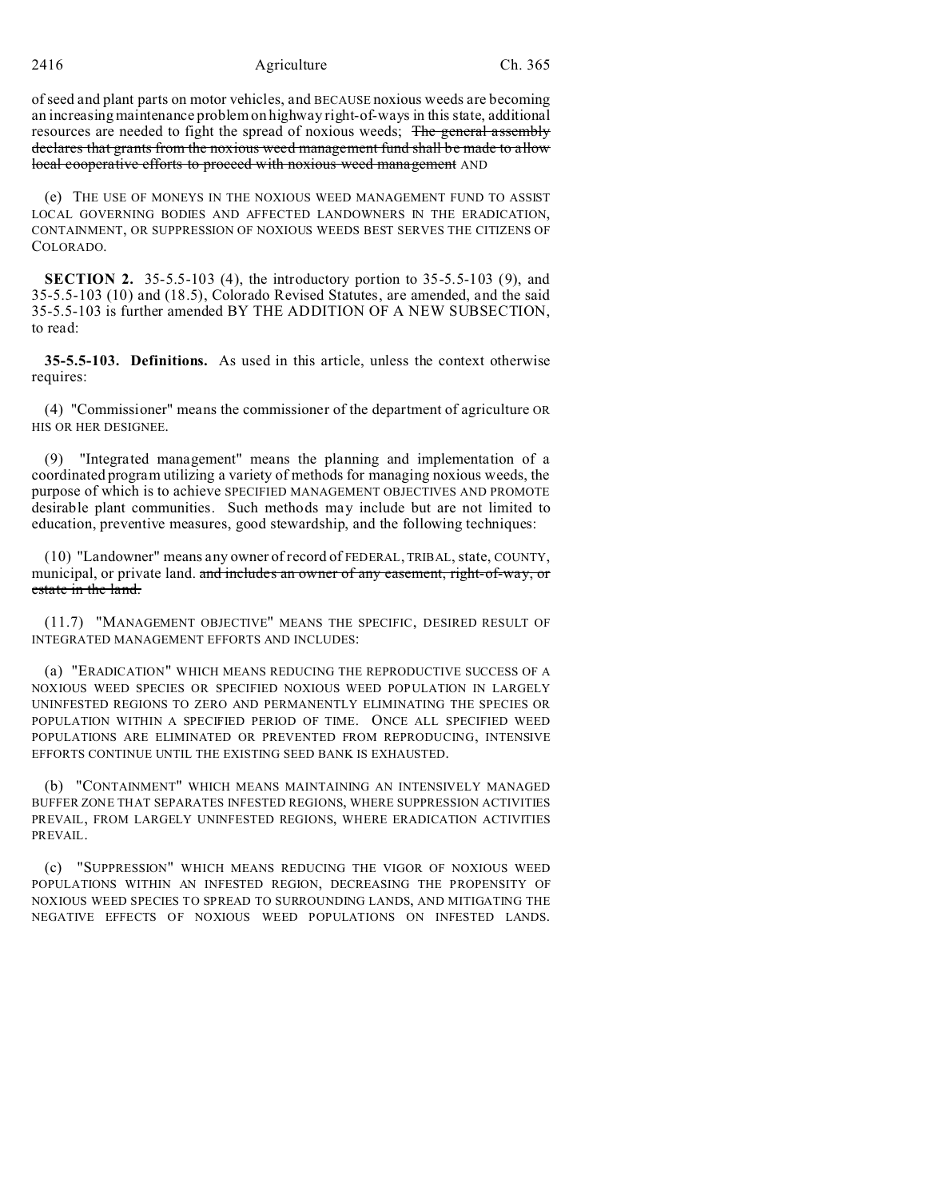of seed and plant parts on motor vehicles, and BECAUSE noxious weeds are becoming an increasing maintenance problem on highway right-of-ways in this state, additional resources are needed to fight the spread of noxious weeds; The general assembly declares that grants from the noxious weed management fund shall be made to allow local cooperative efforts to proceed with noxious weed management AND

(e) THE USE OF MONEYS IN THE NOXIOUS WEED MANAGEMENT FUND TO ASSIST LOCAL GOVERNING BODIES AND AFFECTED LANDOWNERS IN THE ERADICATION, CONTAINMENT, OR SUPPRESSION OF NOXIOUS WEEDS BEST SERVES THE CITIZENS OF COLORADO.

**SECTION 2.** 35-5.5-103 (4), the introductory portion to 35-5.5-103 (9), and 35-5.5-103 (10) and (18.5), Colorado Revised Statutes, are amended, and the said 35-5.5-103 is further amended BY THE ADDITION OF A NEW SUBSECTION, to read:

**35-5.5-103. Definitions.** As used in this article, unless the context otherwise requires:

(4) "Commissioner" means the commissioner of the department of agriculture OR HIS OR HER DESIGNEE.

(9) "Integrated management" means the planning and implementation of a coordinated program utilizing a variety of methods for managing noxious weeds, the purpose of which is to achieve SPECIFIED MANAGEMENT OBJECTIVES AND PROMOTE desirable plant communities. Such methods may include but are not limited to education, preventive measures, good stewardship, and the following techniques:

(10) "Landowner" means any owner of record of FEDERAL, TRIBAL, state, COUNTY, municipal, or private land. and includes an owner of any easement, right-of-way, or estate in the land.

(11.7) "MANAGEMENT OBJECTIVE" MEANS THE SPECIFIC, DESIRED RESULT OF INTEGRATED MANAGEMENT EFFORTS AND INCLUDES:

(a) "ERADICATION" WHICH MEANS REDUCING THE REPRODUCTIVE SUCCESS OF A NOXIOUS WEED SPECIES OR SPECIFIED NOXIOUS WEED POPULATION IN LARGELY UNINFESTED REGIONS TO ZERO AND PERMANENTLY ELIMINATING THE SPECIES OR POPULATION WITHIN A SPECIFIED PERIOD OF TIME. ONCE ALL SPECIFIED WEED POPULATIONS ARE ELIMINATED OR PREVENTED FROM REPRODUCING, INTENSIVE EFFORTS CONTINUE UNTIL THE EXISTING SEED BANK IS EXHAUSTED.

(b) "CONTAINMENT" WHICH MEANS MAINTAINING AN INTENSIVELY MANAGED BUFFER ZONE THAT SEPARATES INFESTED REGIONS, WHERE SUPPRESSION ACTIVITIES PREVAIL, FROM LARGELY UNINFESTED REGIONS, WHERE ERADICATION ACTIVITIES PREVAIL.

(c) "SUPPRESSION" WHICH MEANS REDUCING THE VIGOR OF NOXIOUS WEED POPULATIONS WITHIN AN INFESTED REGION, DECREASING THE PROPENSITY OF NOXIOUS WEED SPECIES TO SPREAD TO SURROUNDING LANDS, AND MITIGATING THE NEGATIVE EFFECTS OF NOXIOUS WEED POPULATIONS ON INFESTED LANDS.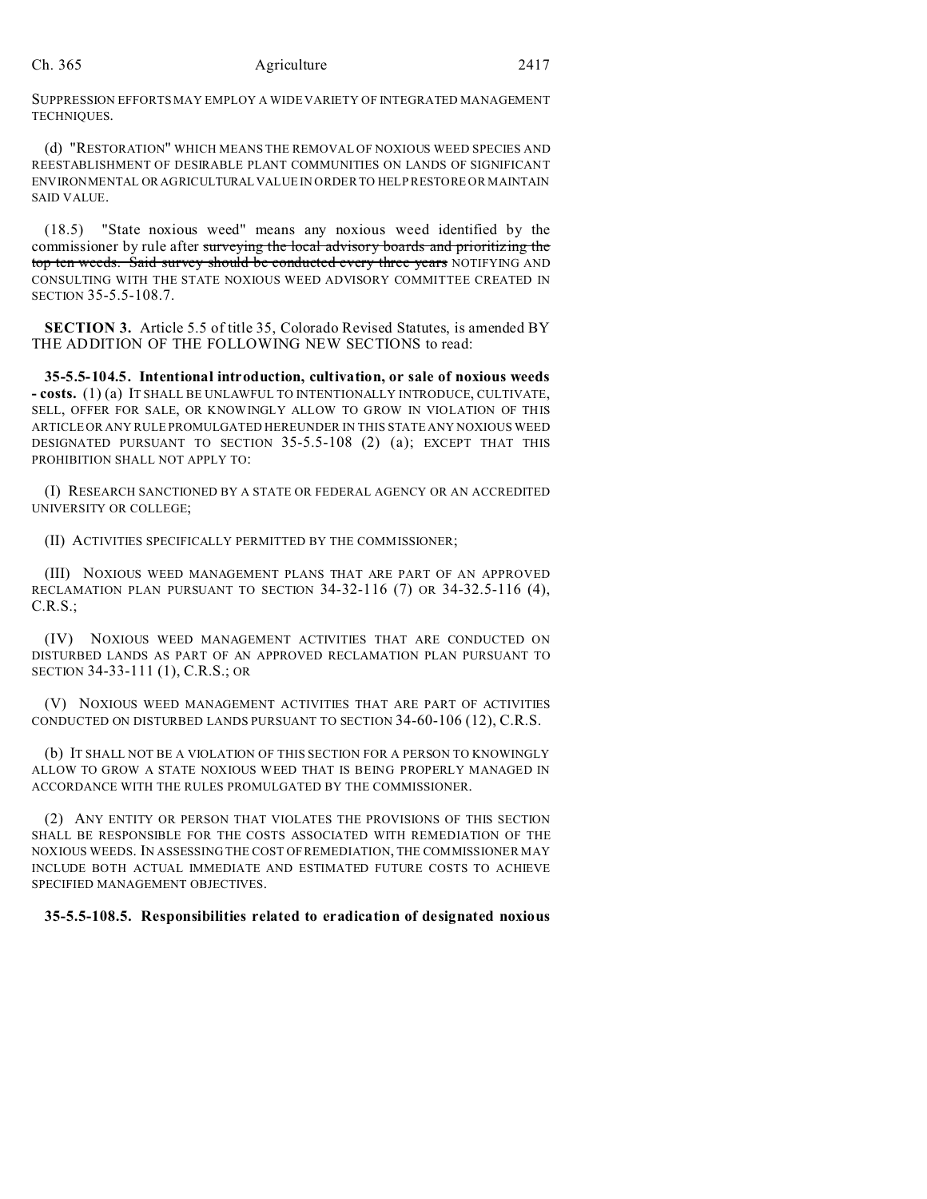SUPPRESSION EFFORTS MAY EMPLOY A WIDE VARIETY OF INTEGRATED MANAGEMENT TECHNIQUES.

(d) "RESTORATION" WHICH MEANS THE REMOVAL OF NOXIOUS WEED SPECIES AND REESTABLISHMENT OF DESIRABLE PLANT COMMUNITIES ON LANDS OF SIGNIFICANT ENVIRONMENTAL OR AGRICULTURAL VALUE IN ORDER TO HELP RESTORE OR MAINTAIN SAID VALUE.

(18.5) "State noxious weed" means any noxious weed identified by the commissioner by rule after surveying the local advisory boards and prioritizing the top ten weeds. Said survey should be conducted every three years NOTIFYING AND CONSULTING WITH THE STATE NOXIOUS WEED ADVISORY COMMITTEE CREATED IN SECTION 35-5.5-108.7.

**SECTION 3.** Article 5.5 of title 35, Colorado Revised Statutes, is amended BY THE ADDITION OF THE FOLLOWING NEW SECTIONS to read:

**35-5.5-104.5. Intentional introduction, cultivation, or sale of noxious weeds - costs.** (1) (a) IT SHALL BE UNLAWFUL TO INTENTIONALLY INTRODUCE, CULTIVATE, SELL, OFFER FOR SALE, OR KNOWINGLY ALLOW TO GROW IN VIOLATION OF THIS ARTICLE OR ANY RULE PROMULGATED HEREUNDER IN THIS STATE ANY NOXIOUS WEED DESIGNATED PURSUANT TO SECTION 35-5.5-108 (2) (a); EXCEPT THAT THIS PROHIBITION SHALL NOT APPLY TO:

(I) RESEARCH SANCTIONED BY A STATE OR FEDERAL AGENCY OR AN ACCREDITED UNIVERSITY OR COLLEGE;

(II) ACTIVITIES SPECIFICALLY PERMITTED BY THE COMMISSIONER;

(III) NOXIOUS WEED MANAGEMENT PLANS THAT ARE PART OF AN APPROVED RECLAMATION PLAN PURSUANT TO SECTION 34-32-116 (7) OR 34-32.5-116 (4), C.R.S.;

(IV) NOXIOUS WEED MANAGEMENT ACTIVITIES THAT ARE CONDUCTED ON DISTURBED LANDS AS PART OF AN APPROVED RECLAMATION PLAN PURSUANT TO SECTION 34-33-111 (1), C.R.S.; OR

(V) NOXIOUS WEED MANAGEMENT ACTIVITIES THAT ARE PART OF ACTIVITIES CONDUCTED ON DISTURBED LANDS PURSUANT TO SECTION 34-60-106 (12), C.R.S.

(b) IT SHALL NOT BE A VIOLATION OF THIS SECTION FOR A PERSON TO KNOWINGLY ALLOW TO GROW A STATE NOXIOUS WEED THAT IS BEING PROPERLY MANAGED IN ACCORDANCE WITH THE RULES PROMULGATED BY THE COMMISSIONER.

(2) ANY ENTITY OR PERSON THAT VIOLATES THE PROVISIONS OF THIS SECTION SHALL BE RESPONSIBLE FOR THE COSTS ASSOCIATED WITH REMEDIATION OF THE NOXIOUS WEEDS. IN ASSESSING THE COST OF REMEDIATION, THE COMMISSIONER MAY INCLUDE BOTH ACTUAL IMMEDIATE AND ESTIMATED FUTURE COSTS TO ACHIEVE SPECIFIED MANAGEMENT OBJECTIVES.

## **35-5.5-108.5. Responsibilities related to eradication of designated noxious**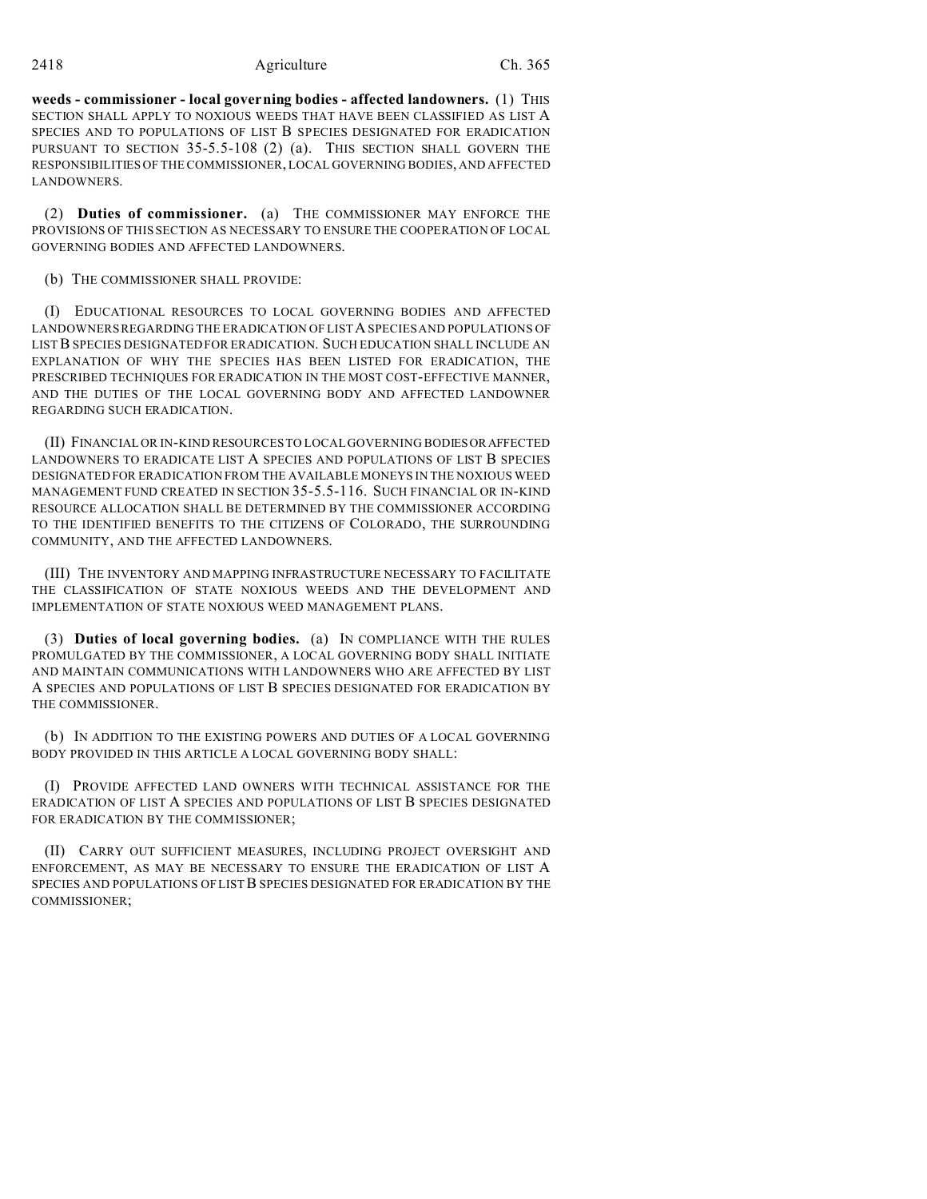#### 2418 **Agriculture** Ch. 365

**weeds - commissioner - local governing bodies - affected landowners.** (1) THIS SECTION SHALL APPLY TO NOXIOUS WEEDS THAT HAVE BEEN CLASSIFIED AS LIST A SPECIES AND TO POPULATIONS OF LIST B SPECIES DESIGNATED FOR ERADICATION PURSUANT TO SECTION 35-5.5-108 (2) (a). THIS SECTION SHALL GOVERN THE RESPONSIBILITIES OF THE COMMISSIONER, LOCAL GOVERNING BODIES, AND AFFECTED LANDOWNERS.

(2) **Duties of commissioner.** (a) THE COMMISSIONER MAY ENFORCE THE PROVISIONS OF THIS SECTION AS NECESSARY TO ENSURE THE COOPERATION OF LOCAL GOVERNING BODIES AND AFFECTED LANDOWNERS.

#### (b) THE COMMISSIONER SHALL PROVIDE:

(I) EDUCATIONAL RESOURCES TO LOCAL GOVERNING BODIES AND AFFECTED LANDOWNERS REGARDING THE ERADICATION OF LIST A SPECIES AND POPULATIONS OF LIST B SPECIES DESIGNATED FOR ERADICATION. SUCH EDUCATION SHALL INCLUDE AN EXPLANATION OF WHY THE SPECIES HAS BEEN LISTED FOR ERADICATION, THE PRESCRIBED TECHNIQUES FOR ERADICATION IN THE MOST COST-EFFECTIVE MANNER, AND THE DUTIES OF THE LOCAL GOVERNING BODY AND AFFECTED LANDOWNER REGARDING SUCH ERADICATION.

(II) FINANCIAL OR IN-KIND RESOURCES TO LOCAL GOVERNING BODIESOR AFFECTED LANDOWNERS TO ERADICATE LIST A SPECIES AND POPULATIONS OF LIST B SPECIES DESIGNATED FOR ERADICATION FROM THE AVAILABLE MONEYS IN THE NOXIOUS WEED MANAGEMENT FUND CREATED IN SECTION 35-5.5-116. SUCH FINANCIAL OR IN-KIND RESOURCE ALLOCATION SHALL BE DETERMINED BY THE COMMISSIONER ACCORDING TO THE IDENTIFIED BENEFITS TO THE CITIZENS OF COLORADO, THE SURROUNDING COMMUNITY, AND THE AFFECTED LANDOWNERS.

(III) THE INVENTORY AND MAPPING INFRASTRUCTURE NECESSARY TO FACILITATE THE CLASSIFICATION OF STATE NOXIOUS WEEDS AND THE DEVELOPMENT AND IMPLEMENTATION OF STATE NOXIOUS WEED MANAGEMENT PLANS.

(3) **Duties of local governing bodies.** (a) IN COMPLIANCE WITH THE RULES PROMULGATED BY THE COMMISSIONER, A LOCAL GOVERNING BODY SHALL INITIATE AND MAINTAIN COMMUNICATIONS WITH LANDOWNERS WHO ARE AFFECTED BY LIST A SPECIES AND POPULATIONS OF LIST B SPECIES DESIGNATED FOR ERADICATION BY THE COMMISSIONER.

(b) IN ADDITION TO THE EXISTING POWERS AND DUTIES OF A LOCAL GOVERNING BODY PROVIDED IN THIS ARTICLE A LOCAL GOVERNING BODY SHALL:

(I) PROVIDE AFFECTED LAND OWNERS WITH TECHNICAL ASSISTANCE FOR THE ERADICATION OF LIST A SPECIES AND POPULATIONS OF LIST B SPECIES DESIGNATED FOR ERADICATION BY THE COMMISSIONER;

(II) CARRY OUT SUFFICIENT MEASURES, INCLUDING PROJECT OVERSIGHT AND ENFORCEMENT, AS MAY BE NECESSARY TO ENSURE THE ERADICATION OF LIST A SPECIES AND POPULATIONS OF LIST B SPECIES DESIGNATED FOR ERADICATION BY THE COMMISSIONER;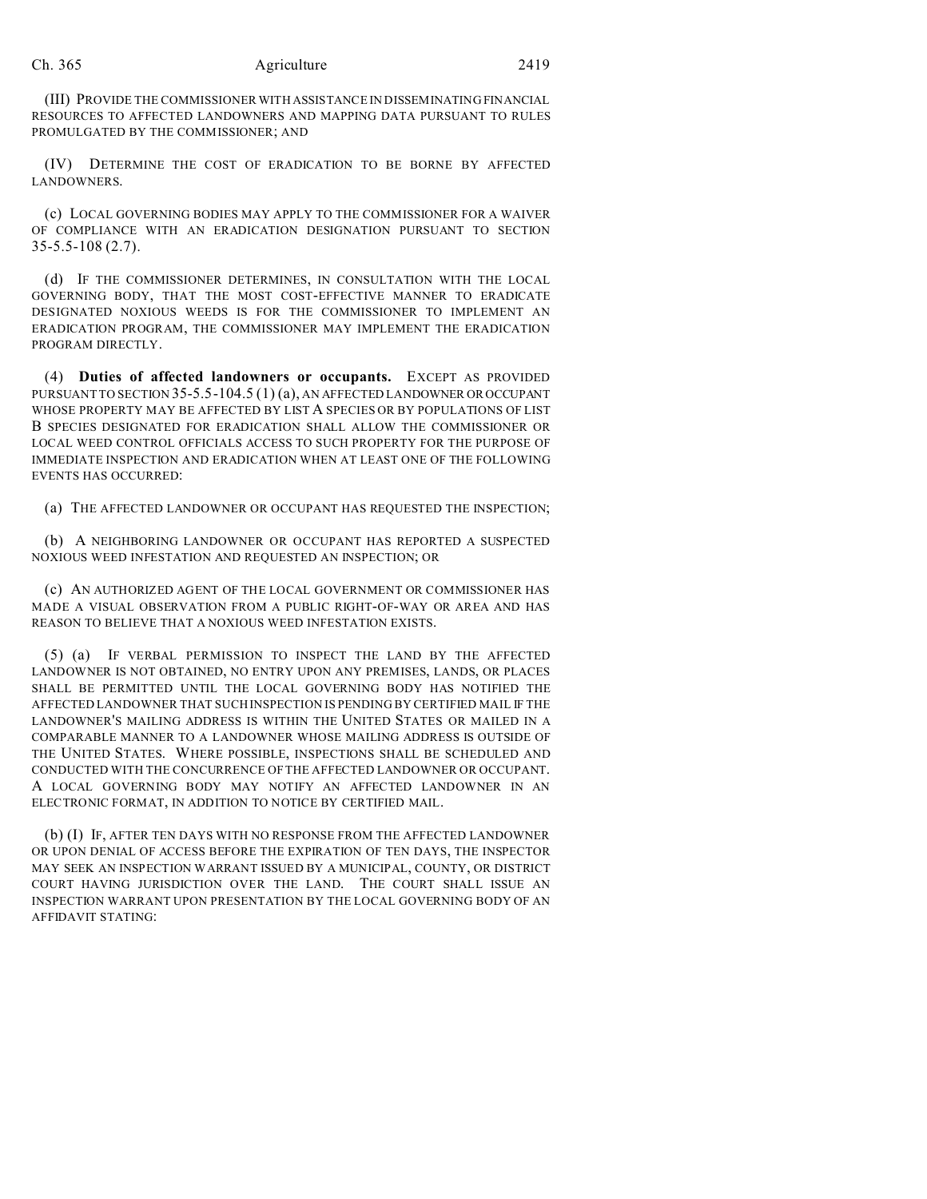(III) PROVIDE THE COMMISSIONER WITH ASSISTANCE IN DISSEMINATING FINANCIAL RESOURCES TO AFFECTED LANDOWNERS AND MAPPING DATA PURSUANT TO RULES PROMULGATED BY THE COMMISSIONER; AND

(IV) DETERMINE THE COST OF ERADICATION TO BE BORNE BY AFFECTED LANDOWNERS.

(c) LOCAL GOVERNING BODIES MAY APPLY TO THE COMMISSIONER FOR A WAIVER OF COMPLIANCE WITH AN ERADICATION DESIGNATION PURSUANT TO SECTION 35-5.5-108 (2.7).

(d) IF THE COMMISSIONER DETERMINES, IN CONSULTATION WITH THE LOCAL GOVERNING BODY, THAT THE MOST COST-EFFECTIVE MANNER TO ERADICATE DESIGNATED NOXIOUS WEEDS IS FOR THE COMMISSIONER TO IMPLEMENT AN ERADICATION PROGRAM, THE COMMISSIONER MAY IMPLEMENT THE ERADICATION PROGRAM DIRECTLY.

(4) **Duties of affected landowners or occupants.** EXCEPT AS PROVIDED PURSUANT TO SECTION 35-5.5-104.5 (1) (a), AN AFFECTED LANDOWNER OR OCCUPANT WHOSE PROPERTY MAY BE AFFECTED BY LIST A SPECIES OR BY POPULATIONS OF LIST B SPECIES DESIGNATED FOR ERADICATION SHALL ALLOW THE COMMISSIONER OR LOCAL WEED CONTROL OFFICIALS ACCESS TO SUCH PROPERTY FOR THE PURPOSE OF IMMEDIATE INSPECTION AND ERADICATION WHEN AT LEAST ONE OF THE FOLLOWING EVENTS HAS OCCURRED:

(a) THE AFFECTED LANDOWNER OR OCCUPANT HAS REQUESTED THE INSPECTION;

(b) A NEIGHBORING LANDOWNER OR OCCUPANT HAS REPORTED A SUSPECTED NOXIOUS WEED INFESTATION AND REQUESTED AN INSPECTION; OR

(c) AN AUTHORIZED AGENT OF THE LOCAL GOVERNMENT OR COMMISSIONER HAS MADE A VISUAL OBSERVATION FROM A PUBLIC RIGHT-OF-WAY OR AREA AND HAS REASON TO BELIEVE THAT A NOXIOUS WEED INFESTATION EXISTS.

(5) (a) IF VERBAL PERMISSION TO INSPECT THE LAND BY THE AFFECTED LANDOWNER IS NOT OBTAINED, NO ENTRY UPON ANY PREMISES, LANDS, OR PLACES SHALL BE PERMITTED UNTIL THE LOCAL GOVERNING BODY HAS NOTIFIED THE AFFECTED LANDOWNER THAT SUCH INSPECTION IS PENDING BY CERTIFIED MAIL IF THE LANDOWNER'S MAILING ADDRESS IS WITHIN THE UNITED STATES OR MAILED IN A COMPARABLE MANNER TO A LANDOWNER WHOSE MAILING ADDRESS IS OUTSIDE OF THE UNITED STATES. WHERE POSSIBLE, INSPECTIONS SHALL BE SCHEDULED AND CONDUCTED WITH THE CONCURRENCE OF THE AFFECTED LANDOWNER OR OCCUPANT. A LOCAL GOVERNING BODY MAY NOTIFY AN AFFECTED LANDOWNER IN AN ELECTRONIC FORMAT, IN ADDITION TO NOTICE BY CERTIFIED MAIL.

(b) (I) IF, AFTER TEN DAYS WITH NO RESPONSE FROM THE AFFECTED LANDOWNER OR UPON DENIAL OF ACCESS BEFORE THE EXPIRATION OF TEN DAYS, THE INSPECTOR MAY SEEK AN INSPECTION WARRANT ISSUED BY A MUNICIPAL, COUNTY, OR DISTRICT COURT HAVING JURISDICTION OVER THE LAND. THE COURT SHALL ISSUE AN INSPECTION WARRANT UPON PRESENTATION BY THE LOCAL GOVERNING BODY OF AN AFFIDAVIT STATING: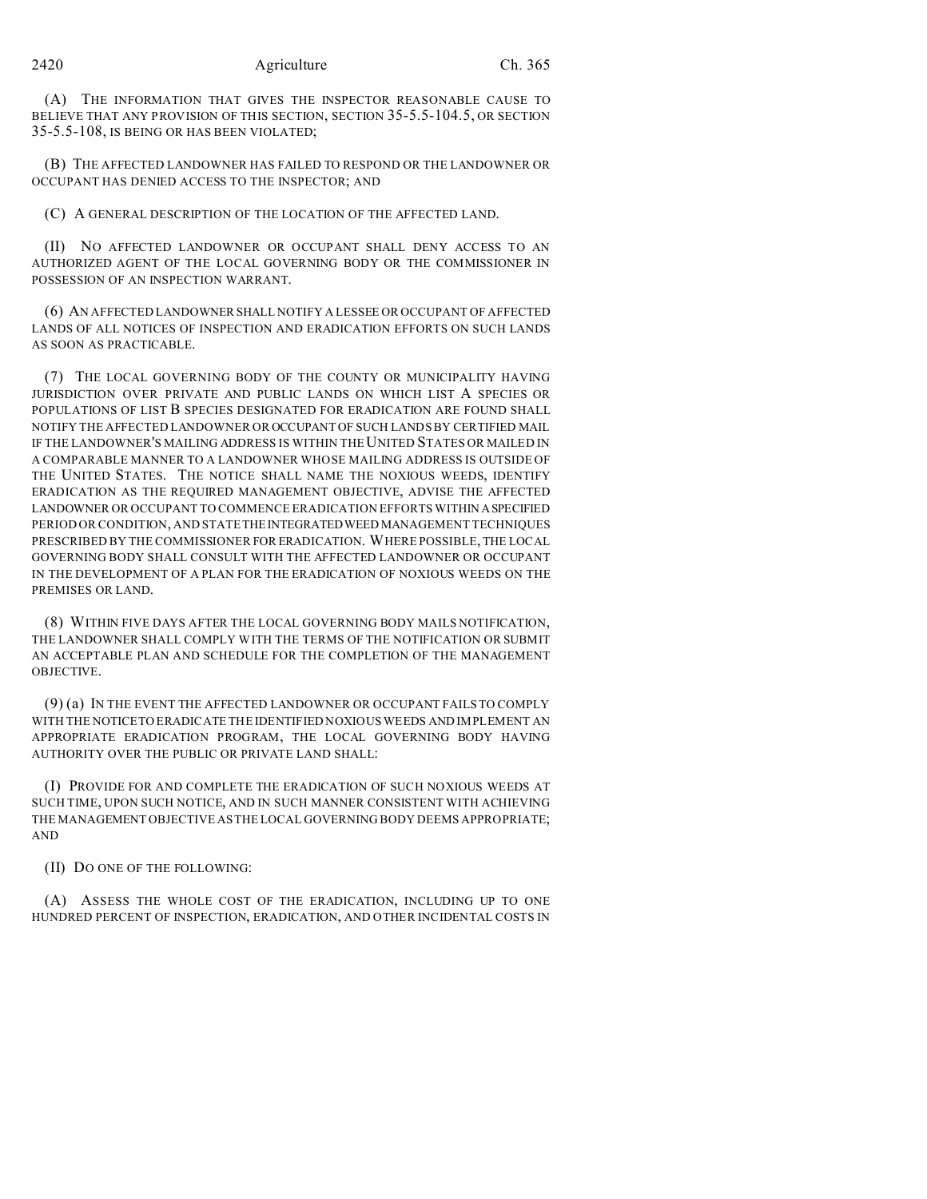(A) THE INFORMATION THAT GIVES THE INSPECTOR REASONABLE CAUSE TO BELIEVE THAT ANY PROVISION OF THIS SECTION, SECTION 35-5.5-104.5, OR SECTION 35-5.5-108, IS BEING OR HAS BEEN VIOLATED;

(B) THE AFFECTED LANDOWNER HAS FAILED TO RESPOND OR THE LANDOWNER OR OCCUPANT HAS DENIED ACCESS TO THE INSPECTOR; AND

(C) A GENERAL DESCRIPTION OF THE LOCATION OF THE AFFECTED LAND.

(II) NO AFFECTED LANDOWNER OR OCCUPANT SHALL DENY ACCESS TO AN AUTHORIZED AGENT OF THE LOCAL GOVERNING BODY OR THE COMMISSIONER IN POSSESSION OF AN INSPECTION WARRANT.

(6) AN AFFECTED LANDOWNER SHALL NOTIFY A LESSEE OR OCCUPANT OF AFFECTED LANDS OF ALL NOTICES OF INSPECTION AND ERADICATION EFFORTS ON SUCH LANDS AS SOON AS PRACTICABLE.

(7) THE LOCAL GOVERNING BODY OF THE COUNTY OR MUNICIPALITY HAVING JURISDICTION OVER PRIVATE AND PUBLIC LANDS ON WHICH LIST A SPECIES OR POPULATIONS OF LIST B SPECIES DESIGNATED FOR ERADICATION ARE FOUND SHALL NOTIFY THE AFFECTED LANDOWNER OR OCCUPANT OF SUCH LANDS BY CERTIFIED MAIL IF THE LANDOWNER'S MAILING ADDRESS IS WITHIN THE UNITED STATES OR MAILED IN A COMPARABLE MANNER TO A LANDOWNER WHOSE MAILING ADDRESS IS OUTSIDE OF THE UNITED STATES. THE NOTICE SHALL NAME THE NOXIOUS WEEDS, IDENTIFY ERADICATION AS THE REQUIRED MANAGEMENT OBJECTIVE, ADVISE THE AFFECTED LANDOWNER OR OCCUPANT TO COMMENCE ERADICATION EFFORTS WITHIN ASPECIFIED PERIOD OR CONDITION, AND STATE THE INTEGRATED WEED MANAGEMENT TECHNIQUES PRESCRIBED BY THE COMMISSIONER FOR ERADICATION. WHERE POSSIBLE, THE LOCAL GOVERNING BODY SHALL CONSULT WITH THE AFFECTED LANDOWNER OR OCCUPANT IN THE DEVELOPMENT OF A PLAN FOR THE ERADICATION OF NOXIOUS WEEDS ON THE PREMISES OR LAND.

(8) WITHIN FIVE DAYS AFTER THE LOCAL GOVERNING BODY MAILS NOTIFICATION, THE LANDOWNER SHALL COMPLY WITH THE TERMS OF THE NOTIFICATION OR SUBMIT AN ACCEPTABLE PLAN AND SCHEDULE FOR THE COMPLETION OF THE MANAGEMENT OBJECTIVE.

(9) (a) IN THE EVENT THE AFFECTED LANDOWNER OR OCCUPANT FAILS TO COMPLY WITH THE NOTICE TO ERADICATE THE IDENTIFIED NOXIOUS WEEDS AND IMPLEMENT AN APPROPRIATE ERADICATION PROGRAM, THE LOCAL GOVERNING BODY HAVING AUTHORITY OVER THE PUBLIC OR PRIVATE LAND SHALL:

(I) PROVIDE FOR AND COMPLETE THE ERADICATION OF SUCH NOXIOUS WEEDS AT SUCH TIME, UPON SUCH NOTICE, AND IN SUCH MANNER CONSISTENT WITH ACHIEVING THE MANAGEMENT OBJECTIVE AS THE LOCAL GOVERNING BODY DEEMS APPROPRIATE; AND

(II) DO ONE OF THE FOLLOWING:

(A) ASSESS THE WHOLE COST OF THE ERADICATION, INCLUDING UP TO ONE HUNDRED PERCENT OF INSPECTION, ERADICATION, AND OTHER INCIDENTAL COSTS IN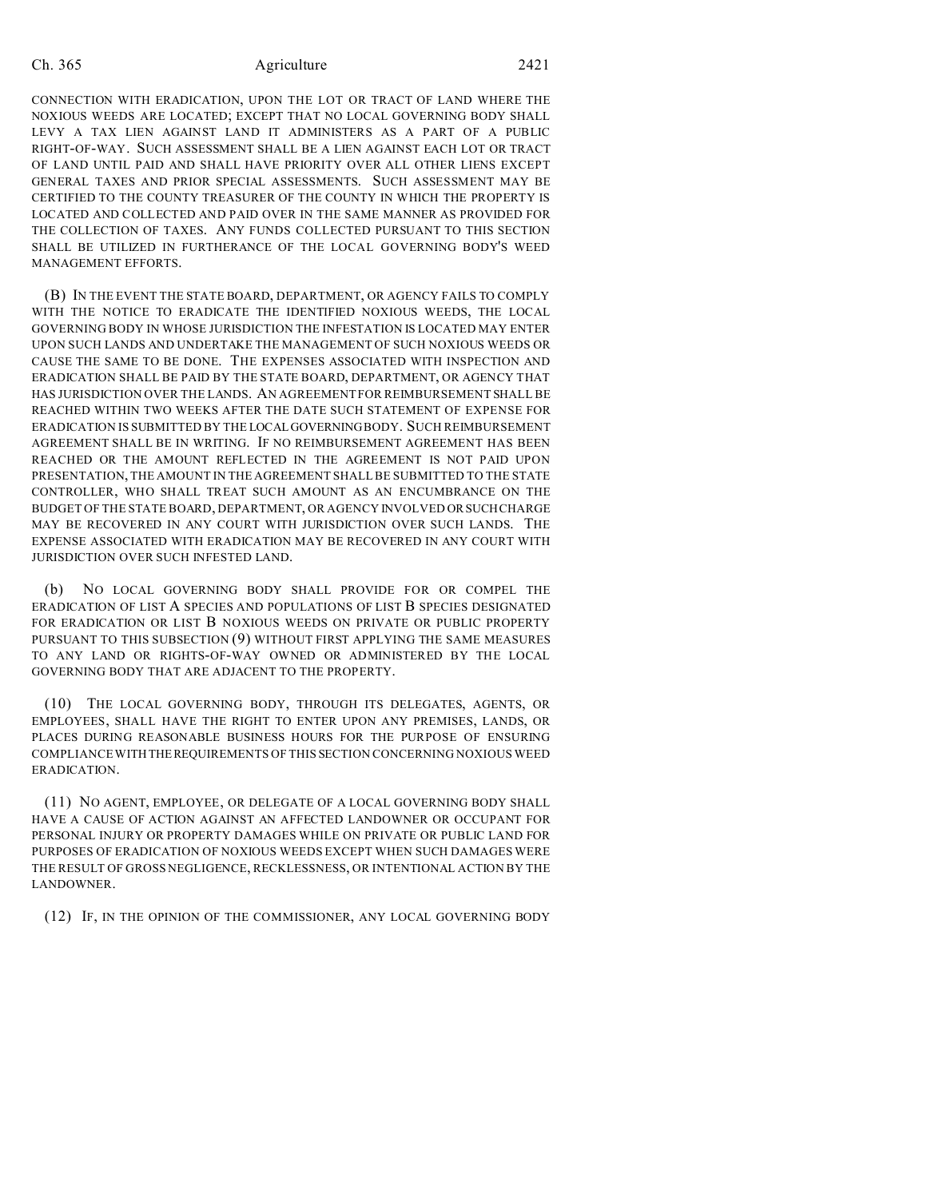CONNECTION WITH ERADICATION, UPON THE LOT OR TRACT OF LAND WHERE THE NOXIOUS WEEDS ARE LOCATED; EXCEPT THAT NO LOCAL GOVERNING BODY SHALL LEVY A TAX LIEN AGAINST LAND IT ADMINISTERS AS A PART OF A PUBLIC RIGHT-OF-WAY. SUCH ASSESSMENT SHALL BE A LIEN AGAINST EACH LOT OR TRACT OF LAND UNTIL PAID AND SHALL HAVE PRIORITY OVER ALL OTHER LIENS EXCEPT GENERAL TAXES AND PRIOR SPECIAL ASSESSMENTS. SUCH ASSESSMENT MAY BE CERTIFIED TO THE COUNTY TREASURER OF THE COUNTY IN WHICH THE PROPERTY IS LOCATED AND COLLECTED AND PAID OVER IN THE SAME MANNER AS PROVIDED FOR THE COLLECTION OF TAXES. ANY FUNDS COLLECTED PURSUANT TO THIS SECTION SHALL BE UTILIZED IN FURTHERANCE OF THE LOCAL GOVERNING BODY'S WEED MANAGEMENT EFFORTS.

(B) IN THE EVENT THE STATE BOARD, DEPARTMENT, OR AGENCY FAILS TO COMPLY WITH THE NOTICE TO ERADICATE THE IDENTIFIED NOXIOUS WEEDS, THE LOCAL GOVERNING BODY IN WHOSE JURISDICTION THE INFESTATION IS LOCATED MAY ENTER UPON SUCH LANDS AND UNDERTAKE THE MANAGEMENT OF SUCH NOXIOUS WEEDS OR CAUSE THE SAME TO BE DONE. THE EXPENSES ASSOCIATED WITH INSPECTION AND ERADICATION SHALL BE PAID BY THE STATE BOARD, DEPARTMENT, OR AGENCY THAT HAS JURISDICTION OVER THE LANDS. AN AGREEMENT FOR REIMBURSEMENT SHALL BE REACHED WITHIN TWO WEEKS AFTER THE DATE SUCH STATEMENT OF EXPENSE FOR ERADICATION IS SUBMITTED BY THE LOCALGOVERNING BODY. SUCH REIMBURSEMENT AGREEMENT SHALL BE IN WRITING. IF NO REIMBURSEMENT AGREEMENT HAS BEEN REACHED OR THE AMOUNT REFLECTED IN THE AGREEMENT IS NOT PAID UPON PRESENTATION, THE AMOUNT IN THE AGREEMENT SHALL BE SUBMITTED TO THE STATE CONTROLLER, WHO SHALL TREAT SUCH AMOUNT AS AN ENCUMBRANCE ON THE BUDGET OF THE STATE BOARD, DEPARTMENT, OR AGENCY INVOLVED ORSUCH CHARGE MAY BE RECOVERED IN ANY COURT WITH JURISDICTION OVER SUCH LANDS. THE EXPENSE ASSOCIATED WITH ERADICATION MAY BE RECOVERED IN ANY COURT WITH JURISDICTION OVER SUCH INFESTED LAND.

(b) NO LOCAL GOVERNING BODY SHALL PROVIDE FOR OR COMPEL THE ERADICATION OF LIST A SPECIES AND POPULATIONS OF LIST B SPECIES DESIGNATED FOR ERADICATION OR LIST B NOXIOUS WEEDS ON PRIVATE OR PUBLIC PROPERTY PURSUANT TO THIS SUBSECTION (9) WITHOUT FIRST APPLYING THE SAME MEASURES TO ANY LAND OR RIGHTS-OF-WAY OWNED OR ADMINISTERED BY THE LOCAL GOVERNING BODY THAT ARE ADJACENT TO THE PROPERTY.

(10) THE LOCAL GOVERNING BODY, THROUGH ITS DELEGATES, AGENTS, OR EMPLOYEES, SHALL HAVE THE RIGHT TO ENTER UPON ANY PREMISES, LANDS, OR PLACES DURING REASONABLE BUSINESS HOURS FOR THE PURPOSE OF ENSURING COMPLIANCE WITH THEREQUIREMENTS OF THIS SECTION CONCERNING NOXIOUS WEED ERADICATION.

(11) NO AGENT, EMPLOYEE, OR DELEGATE OF A LOCAL GOVERNING BODY SHALL HAVE A CAUSE OF ACTION AGAINST AN AFFECTED LANDOWNER OR OCCUPANT FOR PERSONAL INJURY OR PROPERTY DAMAGES WHILE ON PRIVATE OR PUBLIC LAND FOR PURPOSES OF ERADICATION OF NOXIOUS WEEDS EXCEPT WHEN SUCH DAMAGES WERE THE RESULT OF GROSS NEGLIGENCE, RECKLESSNESS, OR INTENTIONAL ACTION BY THE LANDOWNER.

(12) IF, IN THE OPINION OF THE COMMISSIONER, ANY LOCAL GOVERNING BODY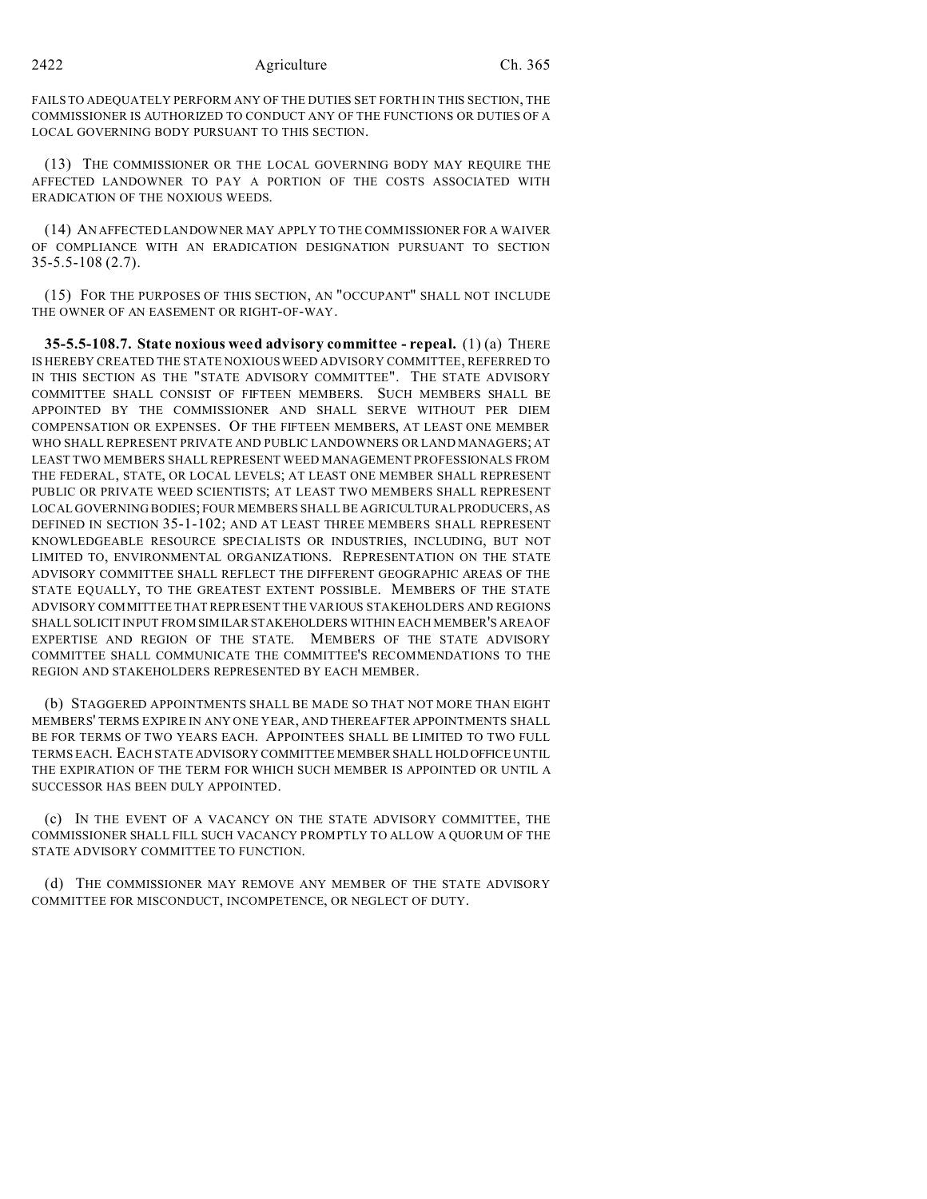#### 2422 Agriculture Ch. 365

FAILS TO ADEQUATELY PERFORM ANY OF THE DUTIES SET FORTH IN THIS SECTION, THE COMMISSIONER IS AUTHORIZED TO CONDUCT ANY OF THE FUNCTIONS OR DUTIES OF A LOCAL GOVERNING BODY PURSUANT TO THIS SECTION.

(13) THE COMMISSIONER OR THE LOCAL GOVERNING BODY MAY REQUIRE THE AFFECTED LANDOWNER TO PAY A PORTION OF THE COSTS ASSOCIATED WITH ERADICATION OF THE NOXIOUS WEEDS.

(14) AN AFFECTED LANDOWNER MAY APPLY TO THE COMMISSIONER FOR A WAIVER OF COMPLIANCE WITH AN ERADICATION DESIGNATION PURSUANT TO SECTION 35-5.5-108 (2.7).

(15) FOR THE PURPOSES OF THIS SECTION, AN "OCCUPANT" SHALL NOT INCLUDE THE OWNER OF AN EASEMENT OR RIGHT-OF-WAY.

**35-5.5-108.7. State noxious weed advisory committee - repeal.** (1) (a) THERE IS HEREBY CREATED THE STATE NOXIOUS WEED ADVISORY COMMITTEE, REFERRED TO IN THIS SECTION AS THE "STATE ADVISORY COMMITTEE". THE STATE ADVISORY COMMITTEE SHALL CONSIST OF FIFTEEN MEMBERS. SUCH MEMBERS SHALL BE APPOINTED BY THE COMMISSIONER AND SHALL SERVE WITHOUT PER DIEM COMPENSATION OR EXPENSES. OF THE FIFTEEN MEMBERS, AT LEAST ONE MEMBER WHO SHALL REPRESENT PRIVATE AND PUBLIC LANDOWNERS OR LAND MANAGERS; AT LEAST TWO MEMBERS SHALL REPRESENT WEED MANAGEMENT PROFESSIONALS FROM THE FEDERAL, STATE, OR LOCAL LEVELS; AT LEAST ONE MEMBER SHALL REPRESENT PUBLIC OR PRIVATE WEED SCIENTISTS; AT LEAST TWO MEMBERS SHALL REPRESENT LOCAL GOVERNING BODIES; FOUR MEMBERS SHALL BE AGRICULTURAL PRODUCERS, AS DEFINED IN SECTION 35-1-102; AND AT LEAST THREE MEMBERS SHALL REPRESENT KNOWLEDGEABLE RESOURCE SPECIALISTS OR INDUSTRIES, INCLUDING, BUT NOT LIMITED TO, ENVIRONMENTAL ORGANIZATIONS. REPRESENTATION ON THE STATE ADVISORY COMMITTEE SHALL REFLECT THE DIFFERENT GEOGRAPHIC AREAS OF THE STATE EQUALLY, TO THE GREATEST EXTENT POSSIBLE. MEMBERS OF THE STATE ADVISORY COMMITTEE THAT REPRESENT THE VARIOUS STAKEHOLDERS AND REGIONS SHALL SOLICIT INPUT FROM SIMILAR STAKEHOLDERS WITHIN EACH MEMBER'S AREA OF EXPERTISE AND REGION OF THE STATE. MEMBERS OF THE STATE ADVISORY COMMITTEE SHALL COMMUNICATE THE COMMITTEE'S RECOMMENDATIONS TO THE REGION AND STAKEHOLDERS REPRESENTED BY EACH MEMBER.

(b) STAGGERED APPOINTMENTS SHALL BE MADE SO THAT NOT MORE THAN EIGHT MEMBERS' TERMS EXPIRE IN ANY ONE YEAR, AND THEREAFTER APPOINTMENTS SHALL BE FOR TERMS OF TWO YEARS EACH. APPOINTEES SHALL BE LIMITED TO TWO FULL TERMS EACH. EACH STATE ADVISORY COMMITTEE MEMBER SHALL HOLD OFFICE UNTIL THE EXPIRATION OF THE TERM FOR WHICH SUCH MEMBER IS APPOINTED OR UNTIL A SUCCESSOR HAS BEEN DULY APPOINTED.

(c) IN THE EVENT OF A VACANCY ON THE STATE ADVISORY COMMITTEE, THE COMMISSIONER SHALL FILL SUCH VACANCY PROMPTLY TO ALLOW A QUORUM OF THE STATE ADVISORY COMMITTEE TO FUNCTION.

(d) THE COMMISSIONER MAY REMOVE ANY MEMBER OF THE STATE ADVISORY COMMITTEE FOR MISCONDUCT, INCOMPETENCE, OR NEGLECT OF DUTY.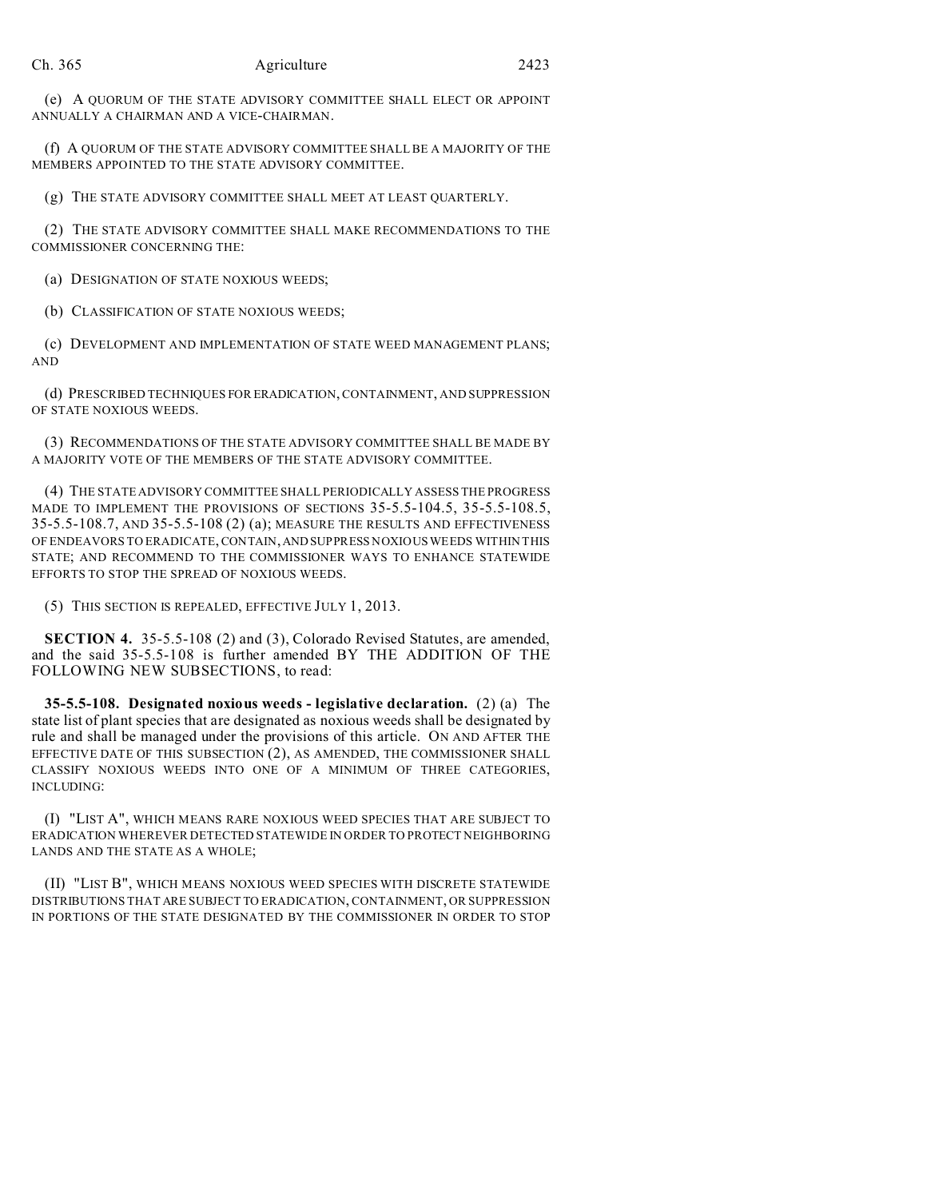(e) A QUORUM OF THE STATE ADVISORY COMMITTEE SHALL ELECT OR APPOINT ANNUALLY A CHAIRMAN AND A VICE-CHAIRMAN.

(f) A QUORUM OF THE STATE ADVISORY COMMITTEE SHALL BE A MAJORITY OF THE MEMBERS APPOINTED TO THE STATE ADVISORY COMMITTEE.

(g) THE STATE ADVISORY COMMITTEE SHALL MEET AT LEAST QUARTERLY.

(2) THE STATE ADVISORY COMMITTEE SHALL MAKE RECOMMENDATIONS TO THE COMMISSIONER CONCERNING THE:

(a) DESIGNATION OF STATE NOXIOUS WEEDS;

(b) CLASSIFICATION OF STATE NOXIOUS WEEDS;

(c) DEVELOPMENT AND IMPLEMENTATION OF STATE WEED MANAGEMENT PLANS; AND

(d) PRESCRIBED TECHNIQUES FOR ERADICATION, CONTAINMENT, AND SUPPRESSION OF STATE NOXIOUS WEEDS.

(3) RECOMMENDATIONS OF THE STATE ADVISORY COMMITTEE SHALL BE MADE BY A MAJORITY VOTE OF THE MEMBERS OF THE STATE ADVISORY COMMITTEE.

(4) THE STATE ADVISORY COMMITTEE SHALL PERIODICALLY ASSESS THE PROGRESS MADE TO IMPLEMENT THE PROVISIONS OF SECTIONS 35-5.5-104.5, 35-5.5-108.5, 35-5.5-108.7, AND 35-5.5-108 (2) (a); MEASURE THE RESULTS AND EFFECTIVENESS OF ENDEAVORS TO ERADICATE, CONTAIN,AND SUPPRESS NOXIOUS WEEDS WITHIN THIS STATE; AND RECOMMEND TO THE COMMISSIONER WAYS TO ENHANCE STATEWIDE EFFORTS TO STOP THE SPREAD OF NOXIOUS WEEDS.

(5) THIS SECTION IS REPEALED, EFFECTIVE JULY 1, 2013.

**SECTION 4.** 35-5.5-108 (2) and (3), Colorado Revised Statutes, are amended, and the said 35-5.5-108 is further amended BY THE ADDITION OF THE FOLLOWING NEW SUBSECTIONS, to read:

**35-5.5-108. Designated noxious weeds - legislative declaration.** (2) (a) The state list of plant species that are designated as noxious weeds shall be designated by rule and shall be managed under the provisions of this article. ON AND AFTER THE EFFECTIVE DATE OF THIS SUBSECTION (2), AS AMENDED, THE COMMISSIONER SHALL CLASSIFY NOXIOUS WEEDS INTO ONE OF A MINIMUM OF THREE CATEGORIES, INCLUDING:

(I) "LIST A", WHICH MEANS RARE NOXIOUS WEED SPECIES THAT ARE SUBJECT TO ERADICATION WHEREVER DETECTED STATEWIDE IN ORDER TO PROTECT NEIGHBORING LANDS AND THE STATE AS A WHOLE;

(II) "LIST B", WHICH MEANS NOXIOUS WEED SPECIES WITH DISCRETE STATEWIDE DISTRIBUTIONS THAT ARE SUBJECT TO ERADICATION, CONTAINMENT, OR SUPPRESSION IN PORTIONS OF THE STATE DESIGNATED BY THE COMMISSIONER IN ORDER TO STOP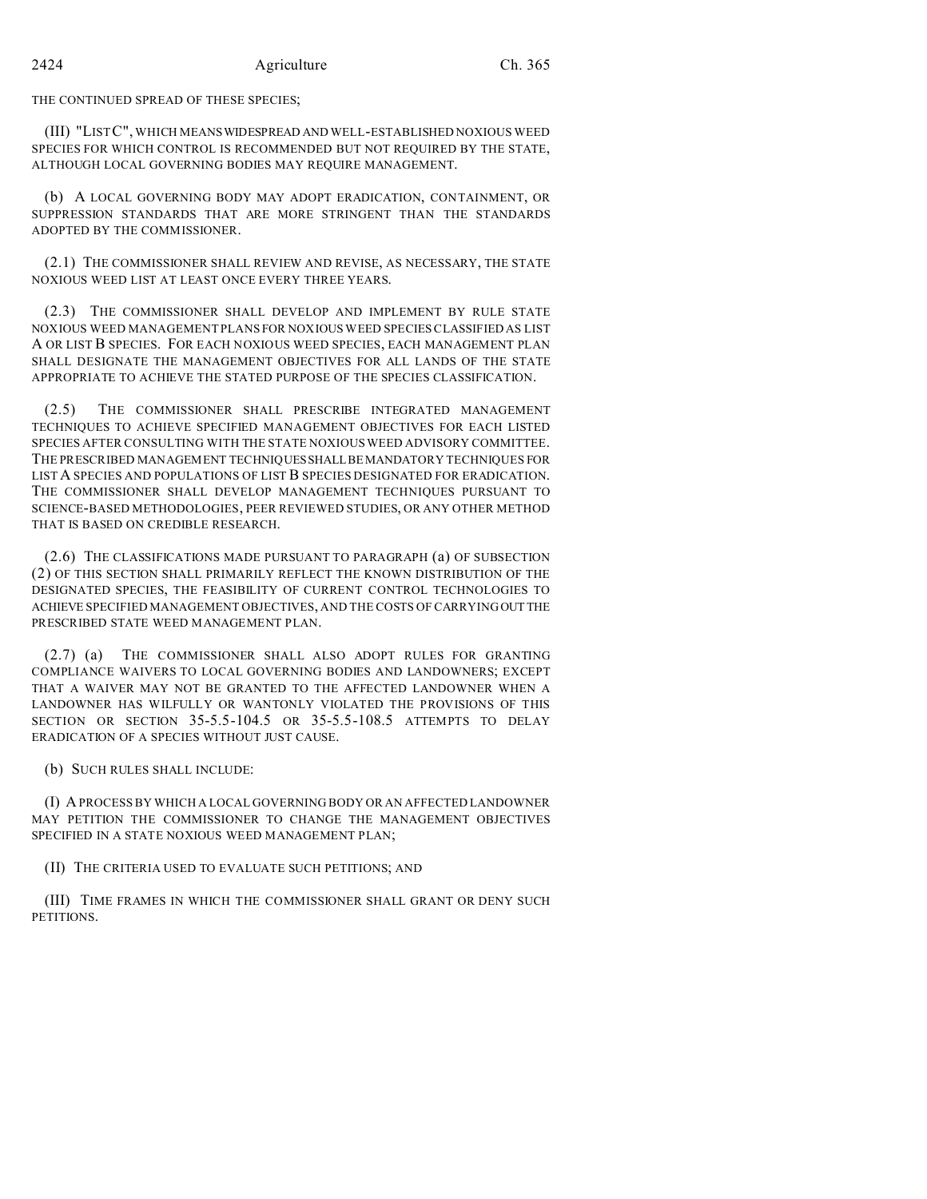## THE CONTINUED SPREAD OF THESE SPECIES;

(III) "LIST C", WHICH MEANSWIDESPREAD AND WELL-ESTABLISHED NOXIOUS WEED SPECIES FOR WHICH CONTROL IS RECOMMENDED BUT NOT REQUIRED BY THE STATE, ALTHOUGH LOCAL GOVERNING BODIES MAY REQUIRE MANAGEMENT.

(b) A LOCAL GOVERNING BODY MAY ADOPT ERADICATION, CONTAINMENT, OR SUPPRESSION STANDARDS THAT ARE MORE STRINGENT THAN THE STANDARDS ADOPTED BY THE COMMISSIONER.

(2.1) THE COMMISSIONER SHALL REVIEW AND REVISE, AS NECESSARY, THE STATE NOXIOUS WEED LIST AT LEAST ONCE EVERY THREE YEARS.

(2.3) THE COMMISSIONER SHALL DEVELOP AND IMPLEMENT BY RULE STATE NOXIOUS WEED MANAGEMENT PLANS FOR NOXIOUS WEED SPECIES CLASSIFIED AS LIST A OR LIST B SPECIES. FOR EACH NOXIOUS WEED SPECIES, EACH MANAGEMENT PLAN SHALL DESIGNATE THE MANAGEMENT OBJECTIVES FOR ALL LANDS OF THE STATE APPROPRIATE TO ACHIEVE THE STATED PURPOSE OF THE SPECIES CLASSIFICATION.

(2.5) THE COMMISSIONER SHALL PRESCRIBE INTEGRATED MANAGEMENT TECHNIQUES TO ACHIEVE SPECIFIED MANAGEMENT OBJECTIVES FOR EACH LISTED SPECIES AFTER CONSULTING WITH THE STATE NOXIOUS WEED ADVISORY COMMITTEE. THE PRESCRIBED MANAGEMENT TECHNIQUESSHALLBEMANDATORY TECHNIQUES FOR LISTA SPECIES AND POPULATIONS OF LIST B SPECIES DESIGNATED FOR ERADICATION. THE COMMISSIONER SHALL DEVELOP MANAGEMENT TECHNIQUES PURSUANT TO SCIENCE-BASED METHODOLOGIES, PEER REVIEWED STUDIES, OR ANY OTHER METHOD THAT IS BASED ON CREDIBLE RESEARCH.

(2.6) THE CLASSIFICATIONS MADE PURSUANT TO PARAGRAPH (a) OF SUBSECTION (2) OF THIS SECTION SHALL PRIMARILY REFLECT THE KNOWN DISTRIBUTION OF THE DESIGNATED SPECIES, THE FEASIBILITY OF CURRENT CONTROL TECHNOLOGIES TO ACHIEVE SPECIFIED MANAGEMENT OBJECTIVES, AND THE COSTS OF CARRYING OUT THE PRESCRIBED STATE WEED MANAGEMENT PLAN.

(2.7) (a) THE COMMISSIONER SHALL ALSO ADOPT RULES FOR GRANTING COMPLIANCE WAIVERS TO LOCAL GOVERNING BODIES AND LANDOWNERS; EXCEPT THAT A WAIVER MAY NOT BE GRANTED TO THE AFFECTED LANDOWNER WHEN A LANDOWNER HAS WILFULLY OR WANTONLY VIOLATED THE PROVISIONS OF THIS SECTION OR SECTION 35-5.5-104.5 OR 35-5.5-108.5 ATTEMPTS TO DELAY ERADICATION OF A SPECIES WITHOUT JUST CAUSE.

(b) SUCH RULES SHALL INCLUDE:

(I) A PROCESS BY WHICH A LOCAL GOVERNING BODY OR AN AFFECTED LANDOWNER MAY PETITION THE COMMISSIONER TO CHANGE THE MANAGEMENT OBJECTIVES SPECIFIED IN A STATE NOXIOUS WEED MANAGEMENT PLAN;

### (II) THE CRITERIA USED TO EVALUATE SUCH PETITIONS; AND

(III) TIME FRAMES IN WHICH THE COMMISSIONER SHALL GRANT OR DENY SUCH PETITIONS.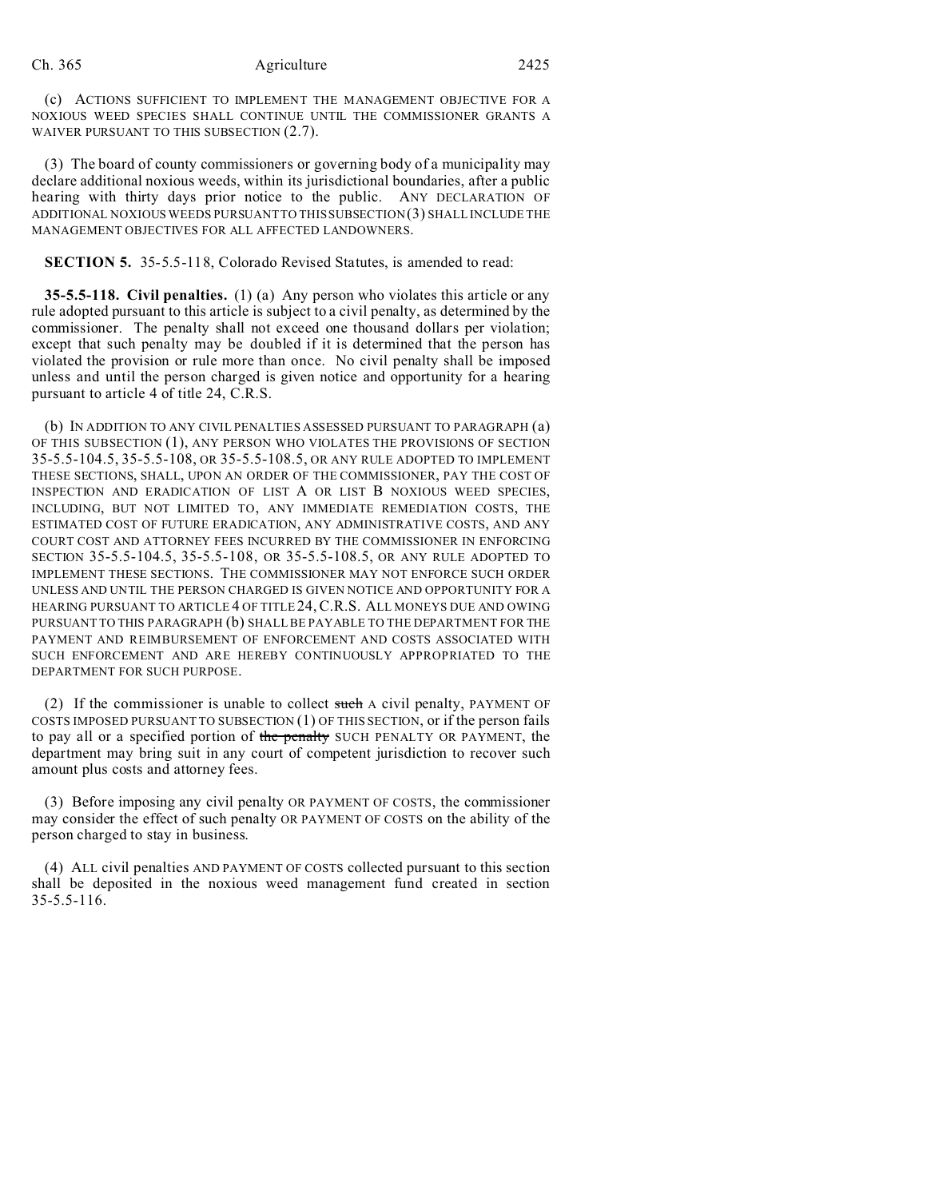(c) ACTIONS SUFFICIENT TO IMPLEMENT THE MANAGEMENT OBJECTIVE FOR A NOXIOUS WEED SPECIES SHALL CONTINUE UNTIL THE COMMISSIONER GRANTS A WAIVER PURSUANT TO THIS SUBSECTION (2.7).

(3) The board of county commissioners or governing body of a municipality may declare additional noxious weeds, within its jurisdictional boundaries, after a public hearing with thirty days prior notice to the public. ANY DECLARATION OF ADDITIONAL NOXIOUS WEEDS PURSUANT TO THIS SUBSECTION (3) SHALL INCLUDE THE MANAGEMENT OBJECTIVES FOR ALL AFFECTED LANDOWNERS.

#### **SECTION 5.** 35-5.5-118, Colorado Revised Statutes, is amended to read:

**35-5.5-118. Civil penalties.** (1) (a) Any person who violates this article or any rule adopted pursuant to this article is subject to a civil penalty, as determined by the commissioner. The penalty shall not exceed one thousand dollars per violation; except that such penalty may be doubled if it is determined that the person has violated the provision or rule more than once. No civil penalty shall be imposed unless and until the person charged is given notice and opportunity for a hearing pursuant to article 4 of title 24, C.R.S.

(b) IN ADDITION TO ANY CIVIL PENALTIES ASSESSED PURSUANT TO PARAGRAPH (a) OF THIS SUBSECTION (1), ANY PERSON WHO VIOLATES THE PROVISIONS OF SECTION 35-5.5-104.5, 35-5.5-108, OR 35-5.5-108.5, OR ANY RULE ADOPTED TO IMPLEMENT THESE SECTIONS, SHALL, UPON AN ORDER OF THE COMMISSIONER, PAY THE COST OF INSPECTION AND ERADICATION OF LIST A OR LIST B NOXIOUS WEED SPECIES, INCLUDING, BUT NOT LIMITED TO, ANY IMMEDIATE REMEDIATION COSTS, THE ESTIMATED COST OF FUTURE ERADICATION, ANY ADMINISTRATIVE COSTS, AND ANY COURT COST AND ATTORNEY FEES INCURRED BY THE COMMISSIONER IN ENFORCING SECTION 35-5.5-104.5, 35-5.5-108, OR 35-5.5-108.5, OR ANY RULE ADOPTED TO IMPLEMENT THESE SECTIONS. THE COMMISSIONER MAY NOT ENFORCE SUCH ORDER UNLESS AND UNTIL THE PERSON CHARGED IS GIVEN NOTICE AND OPPORTUNITY FOR A HEARING PURSUANT TO ARTICLE 4 OF TITLE 24,C.R.S. ALL MONEYS DUE AND OWING PURSUANT TO THIS PARAGRAPH (b) SHALL BE PAYABLE TO THE DEPARTMENT FOR THE PAYMENT AND REIMBURSEMENT OF ENFORCEMENT AND COSTS ASSOCIATED WITH SUCH ENFORCEMENT AND ARE HEREBY CONTINUOUSLY APPROPRIATED TO THE DEPARTMENT FOR SUCH PURPOSE.

(2) If the commissioner is unable to collect such A civil penalty, PAYMENT OF COSTS IMPOSED PURSUANT TO SUBSECTION (1) OF THIS SECTION, or if the person fails to pay all or a specified portion of the penalty SUCH PENALTY OR PAYMENT, the department may bring suit in any court of competent jurisdiction to recover such amount plus costs and attorney fees.

(3) Before imposing any civil penalty OR PAYMENT OF COSTS, the commissioner may consider the effect of such penalty OR PAYMENT OF COSTS on the ability of the person charged to stay in business.

(4) ALL civil penalties AND PAYMENT OF COSTS collected pursuant to this section shall be deposited in the noxious weed management fund created in section 35-5.5-116.